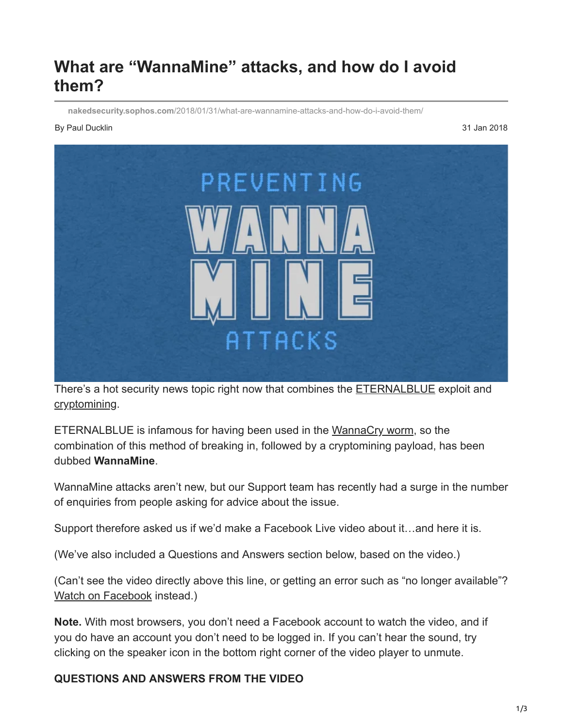# **What are "WannaMine" attacks, and how do I avoid them?**

**nakedsecurity.sophos.com**[/2018/01/31/what-are-wannamine-attacks-and-how-do-i-avoid-them/](https://nakedsecurity.sophos.com/2018/01/31/what-are-wannamine-attacks-and-how-do-i-avoid-them/)

#### By Paul Ducklin 31 Jan 2018



There's a hot security news topic right now that combines the **ETERNALBLUE** exploit and [cryptomining](https://nakedsecurity.sophos.com/2018/01/09/coffeeminer-project-lets-you-hack-public-wi-fi-to-mine-cryptocoins/).

ETERNALBLUE is infamous for having been used in the [WannaCry worm](https://nakedsecurity.sophos.com/2017/05/17/wannacry-the-ransomware-worm-that-didnt-arrive-on-a-phishing-hook/), so the combination of this method of breaking in, followed by a cryptomining payload, has been dubbed **WannaMine**.

WannaMine attacks aren't new, but our Support team has recently had a surge in the number of enquiries from people asking for advice about the issue.

Support therefore asked us if we'd make a Facebook Live video about it…and here it is.

(We've also included a Questions and Answers section below, based on the video.)

(Can't see the video directly above this line, or getting an error such as "no longer available"? [Watch on Facebook](https://www.facebook.com/SophosSecurity/videos/10155363566620017/) instead.)

**Note.** With most browsers, you don't need a Facebook account to watch the video, and if you do have an account you don't need to be logged in. If you can't hear the sound, try clicking on the speaker icon in the bottom right corner of the video player to unmute.

### **QUESTIONS AND ANSWERS FROM THE VIDEO**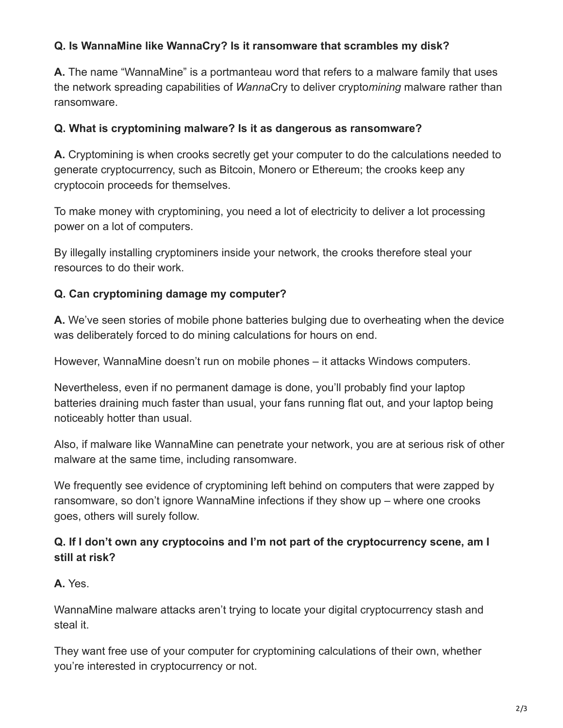### **Q. Is WannaMine like WannaCry? Is it ransomware that scrambles my disk?**

**A.** The name "WannaMine" is a portmanteau word that refers to a malware family that uses the network spreading capabilities of *Wanna*Cry to deliver crypto*mining* malware rather than ransomware.

#### **Q. What is cryptomining malware? Is it as dangerous as ransomware?**

**A.** Cryptomining is when crooks secretly get your computer to do the calculations needed to generate cryptocurrency, such as Bitcoin, Monero or Ethereum; the crooks keep any cryptocoin proceeds for themselves.

To make money with cryptomining, you need a lot of electricity to deliver a lot processing power on a lot of computers.

By illegally installing cryptominers inside your network, the crooks therefore steal your resources to do their work.

### **Q. Can cryptomining damage my computer?**

**A.** We've seen stories of mobile phone batteries bulging due to overheating when the device was deliberately forced to do mining calculations for hours on end.

However, WannaMine doesn't run on mobile phones – it attacks Windows computers.

Nevertheless, even if no permanent damage is done, you'll probably find your laptop batteries draining much faster than usual, your fans running flat out, and your laptop being noticeably hotter than usual.

Also, if malware like WannaMine can penetrate your network, you are at serious risk of other malware at the same time, including ransomware.

We frequently see evidence of cryptomining left behind on computers that were zapped by ransomware, so don't ignore WannaMine infections if they show up – where one crooks goes, others will surely follow.

### **Q. If I don't own any cryptocoins and I'm not part of the cryptocurrency scene, am I still at risk?**

### **A.** Yes.

WannaMine malware attacks aren't trying to locate your digital cryptocurrency stash and steal it.

They want free use of your computer for cryptomining calculations of their own, whether you're interested in cryptocurrency or not.